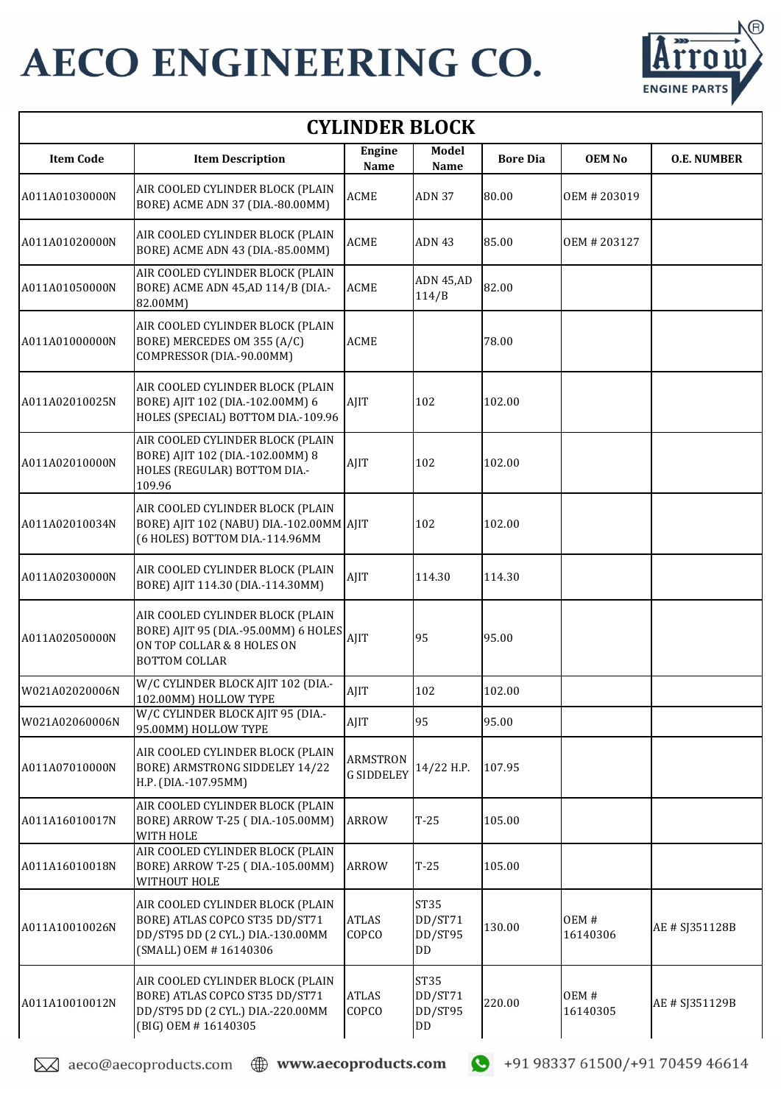

| <b>CYLINDER BLOCK</b> |                                                                                                                                  |                                      |                                         |                 |                  |                    |  |  |
|-----------------------|----------------------------------------------------------------------------------------------------------------------------------|--------------------------------------|-----------------------------------------|-----------------|------------------|--------------------|--|--|
| <b>Item Code</b>      | <b>Item Description</b>                                                                                                          | Engine<br>Name                       | Model<br>Name                           | <b>Bore Dia</b> | <b>OEM No</b>    | <b>O.E. NUMBER</b> |  |  |
| A011A01030000N        | AIR COOLED CYLINDER BLOCK (PLAIN<br>BORE) ACME ADN 37 (DIA.-80.00MM)                                                             | <b>ACME</b>                          | <b>ADN 37</b>                           | 80.00           | OEM # 203019     |                    |  |  |
| A011A01020000N        | AIR COOLED CYLINDER BLOCK (PLAIN<br>BORE) ACME ADN 43 (DIA.-85.00MM)                                                             | <b>ACME</b>                          | ADN 43                                  | 85.00           | OEM # 203127     |                    |  |  |
| A011A01050000N        | AIR COOLED CYLINDER BLOCK (PLAIN<br>BORE) ACME ADN 45,AD 114/B (DIA .-<br>82.00MM)                                               | <b>ACME</b>                          | ADN 45,AD<br>114/B                      | 82.00           |                  |                    |  |  |
| A011A01000000N        | AIR COOLED CYLINDER BLOCK (PLAIN<br>BORE) MERCEDES OM 355 (A/C)<br>COMPRESSOR (DIA.-90.00MM)                                     | <b>ACME</b>                          |                                         | 78.00           |                  |                    |  |  |
| A011A02010025N        | AIR COOLED CYLINDER BLOCK (PLAIN<br>BORE) AJIT 102 (DIA.-102.00MM) 6<br>HOLES (SPECIAL) BOTTOM DIA.-109.96                       | AJIT                                 | 102                                     | 102.00          |                  |                    |  |  |
| A011A02010000N        | AIR COOLED CYLINDER BLOCK (PLAIN<br>BORE) AJIT 102 (DIA .- 102.00MM) 8<br>HOLES (REGULAR) BOTTOM DIA .-<br>109.96                | AJIT                                 | 102                                     | 102.00          |                  |                    |  |  |
| A011A02010034N        | AIR COOLED CYLINDER BLOCK (PLAIN<br>BORE) AJIT 102 (NABU) DIA.-102.00MM AJIT<br>(6 HOLES) BOTTOM DIA.-114.96MM                   |                                      | 102                                     | 102.00          |                  |                    |  |  |
| A011A02030000N        | AIR COOLED CYLINDER BLOCK (PLAIN<br>BORE) AJIT 114.30 (DIA.-114.30MM)                                                            | AJIT                                 | 114.30                                  | 114.30          |                  |                    |  |  |
| A011A02050000N        | AIR COOLED CYLINDER BLOCK (PLAIN<br>BORE) AJIT 95 (DIA.-95.00MM) 6 HOLES<br>ON TOP COLLAR & 8 HOLES ON<br><b>BOTTOM COLLAR</b>   | AJIT                                 | 95                                      | 95.00           |                  |                    |  |  |
| W021A02020006N        | W/C CYLINDER BLOCK AJIT 102 (DIA .-<br>102.00MM) HOLLOW TYPE                                                                     | AJIT                                 | 102                                     | 102.00          |                  |                    |  |  |
| W021A02060006N        | W/C CYLINDER BLOCK AJIT 95 (DIA .-<br>95.00MM) HOLLOW TYPE                                                                       | AJIT                                 | 95                                      | 95.00           |                  |                    |  |  |
| A011A07010000N        | AIR COOLED CYLINDER BLOCK (PLAIN<br>BORE) ARMSTRONG SIDDELEY 14/22<br>H.P. (DIA.-107.95MM)                                       | <b>ARMSTRON</b><br><b>G SIDDELEY</b> | 14/22 H.P.                              | 107.95          |                  |                    |  |  |
| A011A16010017N        | AIR COOLED CYLINDER BLOCK (PLAIN<br>BORE) ARROW T-25 (DIA.-105.00MM)<br>WITH HOLE                                                | <b>ARROW</b>                         | $T-25$                                  | 105.00          |                  |                    |  |  |
| A011A16010018N        | AIR COOLED CYLINDER BLOCK (PLAIN<br>BORE) ARROW T-25 (DIA.-105.00MM)<br>WITHOUT HOLE                                             | <b>ARROW</b>                         | $T-25$                                  | 105.00          |                  |                    |  |  |
| A011A10010026N        | AIR COOLED CYLINDER BLOCK (PLAIN<br>BORE) ATLAS COPCO ST35 DD/ST71<br>DD/ST95 DD (2 CYL.) DIA.-130.00MM<br>(SMALL) OEM #16140306 | <b>ATLAS</b><br>COPCO                | ST35<br>DD/ST71<br>DD/ST95<br><b>DD</b> | 130.00          | OEM#<br>16140306 | AE # SJ351128B     |  |  |
| A011A10010012N        | AIR COOLED CYLINDER BLOCK (PLAIN<br>BORE) ATLAS COPCO ST35 DD/ST71<br>DD/ST95 DD (2 CYL.) DIA.-220.00MM<br>(BIG) OEM #16140305   | <b>ATLAS</b><br>COPCO                | ST35<br>DD/ST71<br>DD/ST95<br>$\rm{DD}$ | 220.00          | OEM#<br>16140305 | AE # SJ351129B     |  |  |

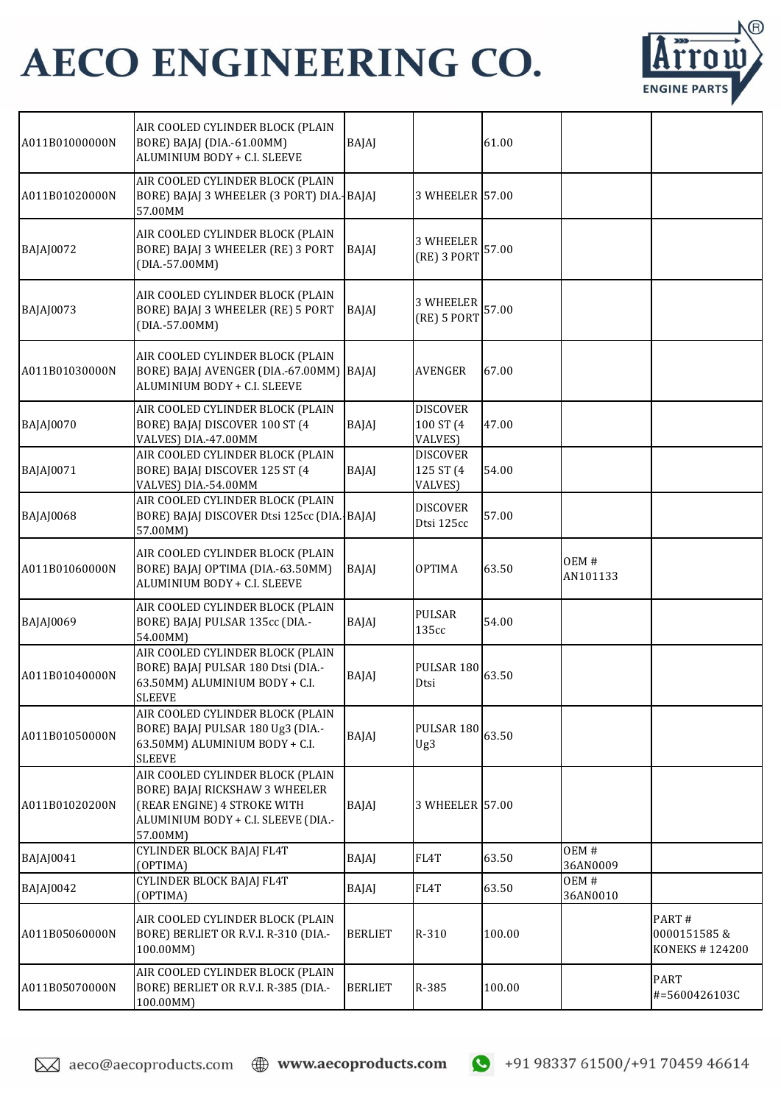

| A011B01000000N | AIR COOLED CYLINDER BLOCK (PLAIN<br>BORE) BAJAJ (DIA.-61.00MM)<br>ALUMINIUM BODY + C.I. SLEEVE                                                        | BAJAJ          |                                         | 61.00  |                  |                                        |
|----------------|-------------------------------------------------------------------------------------------------------------------------------------------------------|----------------|-----------------------------------------|--------|------------------|----------------------------------------|
| A011B01020000N | AIR COOLED CYLINDER BLOCK (PLAIN<br>BORE) BAJAJ 3 WHEELER (3 PORT) DIA. BAJAJ<br>57.00MM                                                              |                | 3 WHEELER 57.00                         |        |                  |                                        |
| BAJAJ0072      | AIR COOLED CYLINDER BLOCK (PLAIN<br>BORE) BAJAJ 3 WHEELER (RE) 3 PORT<br>(DIA.-57.00MM)                                                               | BAJAJ          | <b>3 WHEELER</b><br>(RE) 3 PORT         | 57.00  |                  |                                        |
| BAJAJ0073      | AIR COOLED CYLINDER BLOCK (PLAIN<br>BORE) BAJAJ 3 WHEELER (RE) 5 PORT<br>$(DIA.-57.00MM)$                                                             | BAJAJ          | <b>3 WHEELER</b><br>(RE) 5 PORT         | 57.00  |                  |                                        |
| A011B01030000N | AIR COOLED CYLINDER BLOCK (PLAIN<br>BORE) BAJAJ AVENGER (DIA.-67.00MM)<br>ALUMINIUM BODY + C.I. SLEEVE                                                | BAJAJ          | <b>AVENGER</b>                          | 67.00  |                  |                                        |
| BAJAJ0070      | AIR COOLED CYLINDER BLOCK (PLAIN<br>BORE) BAJAJ DISCOVER 100 ST (4<br>VALVES) DIA.-47.00MM                                                            | BAJAJ          | <b>DISCOVER</b><br>100 ST (4<br>VALVES) | 47.00  |                  |                                        |
| BAJAJ0071      | AIR COOLED CYLINDER BLOCK (PLAIN<br>BORE) BAJAJ DISCOVER 125 ST (4<br>VALVES) DIA.-54.00MM                                                            | BAJAJ          | <b>DISCOVER</b><br>125 ST (4<br>VALVES) | 54.00  |                  |                                        |
| BAJAJ0068      | AIR COOLED CYLINDER BLOCK (PLAIN<br>BORE) BAJAJ DISCOVER Dtsi 125cc (DIA. BAJAJ<br>57.00MM)                                                           |                | <b>DISCOVER</b><br>Dtsi 125cc           | 57.00  |                  |                                        |
| A011B01060000N | AIR COOLED CYLINDER BLOCK (PLAIN<br>BORE) BAJAJ OPTIMA (DIA.-63.50MM)<br>ALUMINIUM BODY + C.I. SLEEVE                                                 | BAJAJ          | <b>OPTIMA</b>                           | 63.50  | OEM#<br>AN101133 |                                        |
| BAJAJ0069      | AIR COOLED CYLINDER BLOCK (PLAIN<br>BORE) BAJAJ PULSAR 135cc (DIA.-<br>54.00MM)                                                                       | BAJAJ          | <b>PULSAR</b><br>135cc                  | 54.00  |                  |                                        |
| A011B01040000N | AIR COOLED CYLINDER BLOCK (PLAIN<br>BORE) BAJAJ PULSAR 180 Dtsi (DIA .-<br>63.50MM) ALUMINIUM BODY + C.I.<br><b>SLEEVE</b>                            | BAJAJ          | PULSAR 180<br>Dtsi                      | 63.50  |                  |                                        |
| A011B01050000N | AIR COOLED CYLINDER BLOCK (PLAIN<br>BORE) BAJAJ PULSAR 180 Ug3 (DIA .-<br>63.50MM) ALUMINIUM BODY + C.I.<br><b>SLEEVE</b>                             | BAJAJ          | PULSAR 180 63.50<br>Ug3                 |        |                  |                                        |
| A011B01020200N | AIR COOLED CYLINDER BLOCK (PLAIN<br>BORE) BAJAJ RICKSHAW 3 WHEELER<br>(REAR ENGINE) 4 STROKE WITH<br>ALUMINIUM BODY + C.I. SLEEVE (DIA .-<br>57.00MM) | BAJAJ          | 3 WHEELER 57.00                         |        |                  |                                        |
| BAJAJ0041      | CYLINDER BLOCK BAJAJ FL4T<br>(OPTIMA)                                                                                                                 | BAJAJ          | FL4T                                    | 63.50  | OEM#<br>36AN0009 |                                        |
| BAJAJ0042      | <b>CYLINDER BLOCK BAJAJ FL4T</b><br>(OPTIMA)                                                                                                          | BAJAJ          | FL4T                                    | 63.50  | OEM#<br>36AN0010 |                                        |
| A011B05060000N | AIR COOLED CYLINDER BLOCK (PLAIN<br>BORE) BERLIET OR R.V.I. R-310 (DIA.-<br>100.00MM)                                                                 | <b>BERLIET</b> | R-310                                   | 100.00 |                  | PART#<br>0000151585&<br>KONEKS #124200 |
| A011B05070000N | AIR COOLED CYLINDER BLOCK (PLAIN<br>BORE) BERLIET OR R.V.I. R-385 (DIA.-<br>100.00MM)                                                                 | <b>BERLIET</b> | R-385                                   | 100.00 |                  | <b>PART</b><br>#=5600426103C           |

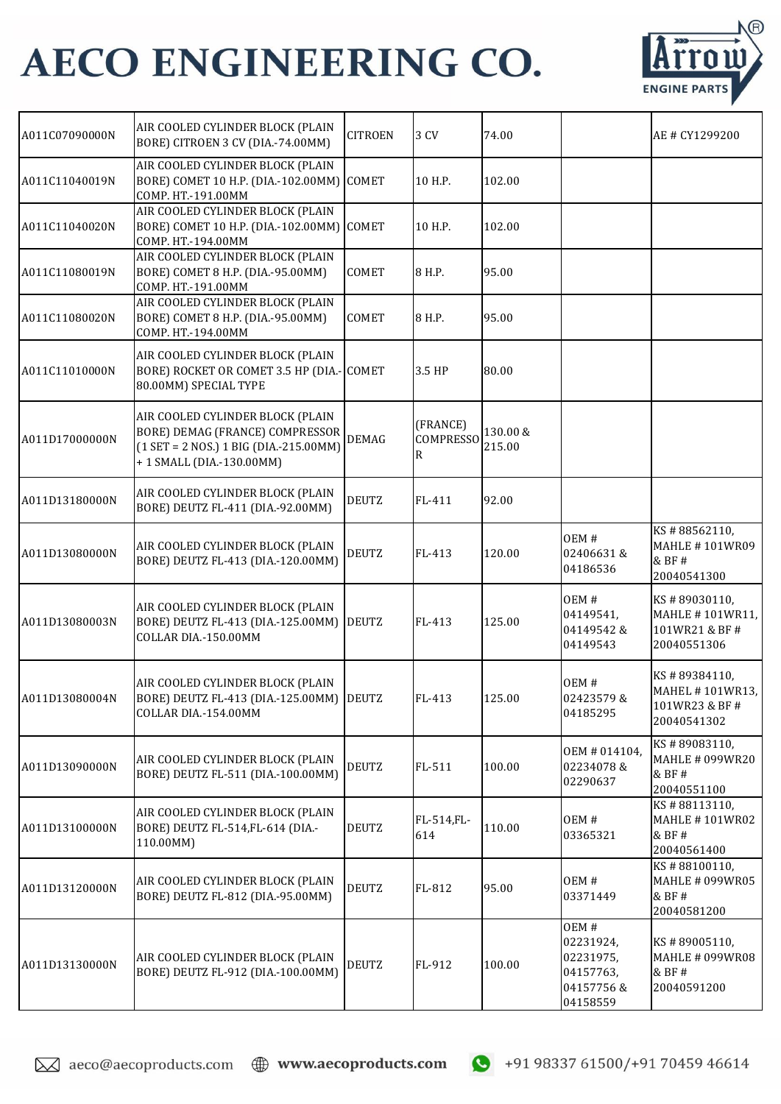

| A011C07090000N | AIR COOLED CYLINDER BLOCK (PLAIN<br>BORE) CITROEN 3 CV (DIA.-74.00MM)                                                                       | <b>CITROEN</b> | 3 CV                              | 74.00              |                                                                      | AE # CY1299200                                                   |
|----------------|---------------------------------------------------------------------------------------------------------------------------------------------|----------------|-----------------------------------|--------------------|----------------------------------------------------------------------|------------------------------------------------------------------|
| A011C11040019N | AIR COOLED CYLINDER BLOCK (PLAIN<br>BORE) COMET 10 H.P. (DIA.-102.00MM) COMET<br>COMP. HT.-191.00MM                                         |                | 10 H.P.                           | 102.00             |                                                                      |                                                                  |
| A011C11040020N | AIR COOLED CYLINDER BLOCK (PLAIN<br>BORE) COMET 10 H.P. (DIA.-102.00MM) COMET<br>COMP. HT.-194.00MM                                         |                | 10 H.P.                           | 102.00             |                                                                      |                                                                  |
| A011C11080019N | AIR COOLED CYLINDER BLOCK (PLAIN<br>BORE) COMET 8 H.P. (DIA.-95.00MM)<br>COMP. HT.-191.00MM                                                 | <b>COMET</b>   | 8 H.P.                            | 95.00              |                                                                      |                                                                  |
| A011C11080020N | AIR COOLED CYLINDER BLOCK (PLAIN<br>BORE) COMET 8 H.P. (DIA.-95.00MM)<br>COMP. HT.-194.00MM                                                 | COMET          | 8 H.P.                            | 95.00              |                                                                      |                                                                  |
| A011C11010000N | AIR COOLED CYLINDER BLOCK (PLAIN<br>BORE) ROCKET OR COMET 3.5 HP (DIA.- COMET<br>80.00MM) SPECIAL TYPE                                      |                | 3.5 HP                            | 80.00              |                                                                      |                                                                  |
| A011D17000000N | AIR COOLED CYLINDER BLOCK (PLAIN<br>BORE) DEMAG (FRANCE) COMPRESSOR<br>$(1 SET = 2 NOS.) 1 BIG (DIA.-215.00MM)$<br>+1 SMALL (DIA.-130.00MM) | <b>DEMAG</b>   | (FRANCE)<br><b>COMPRESSO</b><br>R | 130.00 &<br>215.00 |                                                                      |                                                                  |
| A011D13180000N | AIR COOLED CYLINDER BLOCK (PLAIN<br>BORE) DEUTZ FL-411 (DIA.-92.00MM)                                                                       | <b>DEUTZ</b>   | FL-411                            | 92.00              |                                                                      |                                                                  |
| A011D13080000N | AIR COOLED CYLINDER BLOCK (PLAIN<br>BORE) DEUTZ FL-413 (DIA.-120.00MM)                                                                      | <b>DEUTZ</b>   | FL-413                            | 120.00             | OEM#<br>02406631&<br>04186536                                        | KS#88562110,<br><b>MAHLE #101WR09</b><br>& BF #<br>20040541300   |
| A011D13080003N | AIR COOLED CYLINDER BLOCK (PLAIN<br>BORE) DEUTZ FL-413 (DIA.-125.00MM)<br>COLLAR DIA.-150.00MM                                              | <b>DEUTZ</b>   | FL-413                            | 125.00             | OEM#<br>04149541,<br>04149542&<br>04149543                           | KS#89030110,<br>MAHLE #101WR11,<br>101WR21 & BF #<br>20040551306 |
| A011D13080004N | AIR COOLED CYLINDER BLOCK (PLAIN<br>BORE) DEUTZ FL-413 (DIA.-125.00MM) DEUTZ<br>COLLAR DIA .- 154.00MM                                      |                | FL-413                            | 125.00             | OEM#<br>02423579&<br>04185295                                        | KS#89384110,<br>MAHEL #101WR13,<br>101WR23 & BF #<br>20040541302 |
| A011D13090000N | AIR COOLED CYLINDER BLOCK (PLAIN<br>BORE) DEUTZ FL-511 (DIA.-100.00MM)                                                                      | <b>DEUTZ</b>   | FL-511                            | 100.00             | OEM # 014104,<br>02234078&<br>02290637                               | KS#89083110,<br><b>MAHLE # 099WR20</b><br>& BF #<br>20040551100  |
| A011D13100000N | AIR COOLED CYLINDER BLOCK (PLAIN<br>BORE) DEUTZ FL-514, FL-614 (DIA .-<br>110.00MM)                                                         | <b>DEUTZ</b>   | FL-514,FL-<br>614                 | 110.00             | OEM#<br>03365321                                                     | KS#88113110,<br><b>MAHLE #101WR02</b><br>& BF #<br>20040561400   |
| A011D13120000N | AIR COOLED CYLINDER BLOCK (PLAIN<br>BORE) DEUTZ FL-812 (DIA.-95.00MM)                                                                       | <b>DEUTZ</b>   | FL-812                            | 95.00              | OEM#<br>03371449                                                     | KS#88100110,<br><b>MAHLE # 099WR05</b><br>& BF #<br>20040581200  |
| A011D13130000N | AIR COOLED CYLINDER BLOCK (PLAIN<br>BORE) DEUTZ FL-912 (DIA.-100.00MM)                                                                      | <b>DEUTZ</b>   | FL-912                            | 100.00             | OEM#<br>02231924,<br>02231975,<br>04157763,<br>04157756&<br>04158559 | KS#89005110,<br><b>MAHLE # 099WR08</b><br>& BF #<br>20040591200  |

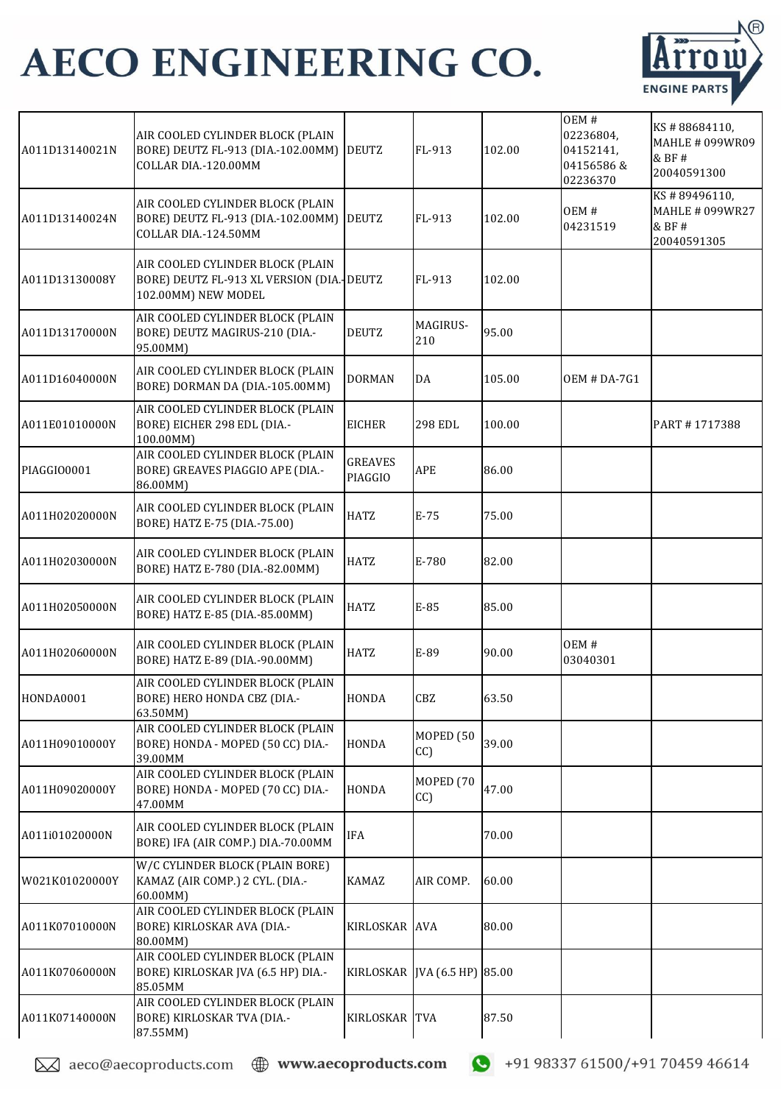

| A011D13140021N | AIR COOLED CYLINDER BLOCK (PLAIN<br>BORE) DEUTZ FL-913 (DIA.-102.00MM)<br>COLLAR DIA .- 120.00MM     | <b>DEUTZ</b>              | FL-913                       | 102.00 | OEM#<br>02236804,<br>04152141,<br>04156586 &<br>02236370 | KS#88684110,<br>MAHLE # 099WR09<br>& BF #<br>20040591300 |
|----------------|------------------------------------------------------------------------------------------------------|---------------------------|------------------------------|--------|----------------------------------------------------------|----------------------------------------------------------|
| A011D13140024N | AIR COOLED CYLINDER BLOCK (PLAIN<br>BORE) DEUTZ FL-913 (DIA.-102.00MM)<br>COLLAR DIA .- 124.50MM     | <b>DEUTZ</b>              | FL-913                       | 102.00 | OEM#<br>04231519                                         | KS#89496110,<br>MAHLE # 099WR27<br>& BF#<br>20040591305  |
| A011D13130008Y | AIR COOLED CYLINDER BLOCK (PLAIN<br>BORE) DEUTZ FL-913 XL VERSION (DIA. DEUTZ<br>102.00MM) NEW MODEL |                           | FL-913                       | 102.00 |                                                          |                                                          |
| A011D13170000N | AIR COOLED CYLINDER BLOCK (PLAIN<br>BORE) DEUTZ MAGIRUS-210 (DIA.-<br>95.00MM)                       | <b>DEUTZ</b>              | MAGIRUS-<br>210              | 95.00  |                                                          |                                                          |
| A011D16040000N | AIR COOLED CYLINDER BLOCK (PLAIN<br>BORE) DORMAN DA (DIA.-105.00MM)                                  | <b>DORMAN</b>             | DA                           | 105.00 | <b>OEM # DA-7G1</b>                                      |                                                          |
| A011E01010000N | AIR COOLED CYLINDER BLOCK (PLAIN<br>BORE) EICHER 298 EDL (DIA .-<br>100.00MM)                        | <b>EICHER</b>             | <b>298 EDL</b>               | 100.00 |                                                          | PART #1717388                                            |
| PIAGGIO0001    | AIR COOLED CYLINDER BLOCK (PLAIN<br>BORE) GREAVES PIAGGIO APE (DIA .-<br>86.00MM)                    | <b>GREAVES</b><br>PIAGGIO | APE                          | 86.00  |                                                          |                                                          |
| A011H02020000N | AIR COOLED CYLINDER BLOCK (PLAIN<br>BORE) HATZ E-75 (DIA - 75.00)                                    | HATZ                      | $E-75$                       | 75.00  |                                                          |                                                          |
| A011H02030000N | AIR COOLED CYLINDER BLOCK (PLAIN<br>BORE) HATZ E-780 (DIA.-82.00MM)                                  | <b>HATZ</b>               | E-780                        | 82.00  |                                                          |                                                          |
| A011H02050000N | AIR COOLED CYLINDER BLOCK (PLAIN<br>BORE) HATZ E-85 (DIA.-85.00MM)                                   | <b>HATZ</b>               | E-85                         | 85.00  |                                                          |                                                          |
| A011H02060000N | AIR COOLED CYLINDER BLOCK (PLAIN<br>BORE) HATZ E-89 (DIA.-90.00MM)                                   | <b>HATZ</b>               | E-89                         | 90.00  | OEM#<br>03040301                                         |                                                          |
| HONDA0001      | AIR COOLED CYLINDER BLOCK (PLAIN<br>BORE) HERO HONDA CBZ (DIA .-<br>63.50MM)                         | HONDA                     | CBZ                          | 63.50  |                                                          |                                                          |
| A011H09010000Y | AIR COOLED CYLINDER BLOCK (PLAIN<br>BORE) HONDA - MOPED (50 CC) DIA .-<br>39.00MM                    | HONDA                     | MOPED <sub>(50</sub><br>CC)  | 39.00  |                                                          |                                                          |
| A011H09020000Y | AIR COOLED CYLINDER BLOCK (PLAIN<br>BORE) HONDA - MOPED (70 CC) DIA .-<br>47.00MM                    | HONDA                     | MOPED <sub>(70</sub><br>CC)  | 47.00  |                                                          |                                                          |
| A011i01020000N | AIR COOLED CYLINDER BLOCK (PLAIN<br>BORE) IFA (AIR COMP.) DIA .- 70.00MM                             | <b>IFA</b>                |                              | 70.00  |                                                          |                                                          |
| W021K01020000Y | W/C CYLINDER BLOCK (PLAIN BORE)<br>KAMAZ (AIR COMP.) 2 CYL. (DIA.-<br>60.00MM)                       | <b>KAMAZ</b>              | AIR COMP.                    | 60.00  |                                                          |                                                          |
| A011K07010000N | AIR COOLED CYLINDER BLOCK (PLAIN<br>BORE) KIRLOSKAR AVA (DIA.-<br>80.00MM)                           | KIRLOSKAR AVA             |                              | 80.00  |                                                          |                                                          |
| A011K07060000N | AIR COOLED CYLINDER BLOCK (PLAIN<br>BORE) KIRLOSKAR JVA (6.5 HP) DIA.-<br>85.05MM                    |                           | KIRLOSKAR JVA (6.5 HP) 85.00 |        |                                                          |                                                          |
| A011K07140000N | AIR COOLED CYLINDER BLOCK (PLAIN<br>BORE) KIRLOSKAR TVA (DIA.-<br>87.55MM)                           | KIRLOSKAR TVA             |                              | 87.50  |                                                          |                                                          |

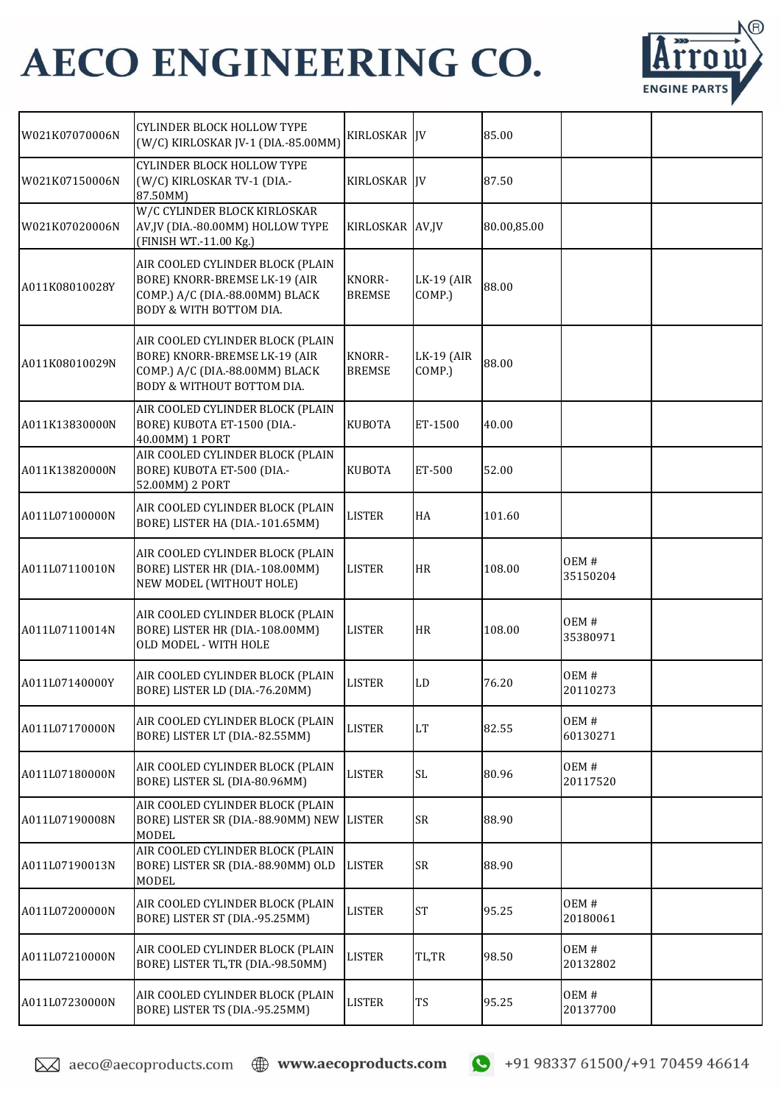

| W021K07070006N | <b>CYLINDER BLOCK HOLLOW TYPE</b><br>(W/C) KIRLOSKAR JV-1 (DIA.-85.00MM)                                                           | KIRLOSKAR JV                   |                             | 85.00       |                  |  |
|----------------|------------------------------------------------------------------------------------------------------------------------------------|--------------------------------|-----------------------------|-------------|------------------|--|
| W021K07150006N | CYLINDER BLOCK HOLLOW TYPE<br>(W/C) KIRLOSKAR TV-1 (DIA .-<br>87.50MM)                                                             | KIRLOSKAR IV                   |                             | 87.50       |                  |  |
| W021K07020006N | W/C CYLINDER BLOCK KIRLOSKAR<br>AV,JV (DIA.-80.00MM) HOLLOW TYPE<br>(FINISH WT.-11.00 Kg.)                                         | KIRLOSKAR AV,JV                |                             | 80.00,85.00 |                  |  |
| A011K08010028Y | AIR COOLED CYLINDER BLOCK (PLAIN<br>BORE) KNORR-BREMSE LK-19 (AIR<br>COMP.) A/C (DIA.-88.00MM) BLACK<br>BODY & WITH BOTTOM DIA.    | KNORR-<br><b>BREMSE</b>        | <b>LK-19 (AIR</b><br>COMP.) | 88.00       |                  |  |
| A011K08010029N | AIR COOLED CYLINDER BLOCK (PLAIN<br>BORE) KNORR-BREMSE LK-19 (AIR<br>COMP.) A/C (DIA.-88.00MM) BLACK<br>BODY & WITHOUT BOTTOM DIA. | <b>KNORR-</b><br><b>BREMSE</b> | <b>LK-19 (AIR</b><br>COMP.) | 88.00       |                  |  |
| A011K13830000N | AIR COOLED CYLINDER BLOCK (PLAIN<br>BORE) KUBOTA ET-1500 (DIA.-<br>40.00MM) 1 PORT                                                 | <b>KUBOTA</b>                  | ET-1500                     | 40.00       |                  |  |
| A011K13820000N | AIR COOLED CYLINDER BLOCK (PLAIN<br>BORE) KUBOTA ET-500 (DIA.-<br>52.00MM) 2 PORT                                                  | <b>KUBOTA</b>                  | ET-500                      | 52.00       |                  |  |
| A011L07100000N | AIR COOLED CYLINDER BLOCK (PLAIN<br>BORE) LISTER HA (DIA.-101.65MM)                                                                | <b>LISTER</b>                  | HA                          | 101.60      |                  |  |
| A011L07110010N | AIR COOLED CYLINDER BLOCK (PLAIN<br>BORE) LISTER HR (DIA .- 108.00MM)<br>NEW MODEL (WITHOUT HOLE)                                  | <b>LISTER</b>                  | <b>HR</b>                   | 108.00      | OEM#<br>35150204 |  |
| A011L07110014N | AIR COOLED CYLINDER BLOCK (PLAIN<br>BORE) LISTER HR (DIA .- 108.00MM)<br>OLD MODEL - WITH HOLE                                     | <b>LISTER</b>                  | <b>HR</b>                   | 108.00      | OEM#<br>35380971 |  |
| A011L07140000Y | AIR COOLED CYLINDER BLOCK (PLAIN<br>BORE) LISTER LD (DIA.-76.20MM)                                                                 | <b>LISTER</b>                  | LD                          | 76.20       | OEM#<br>20110273 |  |
| A011L07170000N | AIR COOLED CYLINDER BLOCK (PLAIN<br>BORE) LISTER LT (DIA.-82.55MM)                                                                 | <b>LISTER</b>                  | <b>LT</b>                   | 82.55       | OEM#<br>60130271 |  |
| A011L07180000N | AIR COOLED CYLINDER BLOCK (PLAIN<br>BORE) LISTER SL (DIA-80.96MM)                                                                  | <b>LISTER</b>                  | $\operatorname{SL}$         | 80.96       | OEM#<br>20117520 |  |
| A011L07190008N | AIR COOLED CYLINDER BLOCK (PLAIN<br>BORE) LISTER SR (DIA.-88.90MM) NEW<br><b>MODEL</b>                                             | <b>LISTER</b>                  | <b>SR</b>                   | 88.90       |                  |  |
| A011L07190013N | AIR COOLED CYLINDER BLOCK (PLAIN<br>BORE) LISTER SR (DIA.-88.90MM) OLD<br><b>MODEL</b>                                             | <b>LISTER</b>                  | <b>SR</b>                   | 88.90       |                  |  |
| A011L07200000N | AIR COOLED CYLINDER BLOCK (PLAIN<br>BORE) LISTER ST (DIA.-95.25MM)                                                                 | <b>LISTER</b>                  | <b>ST</b>                   | 95.25       | OEM#<br>20180061 |  |
| A011L07210000N | AIR COOLED CYLINDER BLOCK (PLAIN<br>BORE) LISTER TL,TR (DIA.-98.50MM)                                                              | <b>LISTER</b>                  | TL,TR                       | 98.50       | OEM#<br>20132802 |  |
| A011L07230000N | AIR COOLED CYLINDER BLOCK (PLAIN<br>BORE) LISTER TS (DIA.-95.25MM)                                                                 | <b>LISTER</b>                  | TS                          | 95.25       | OEM#<br>20137700 |  |

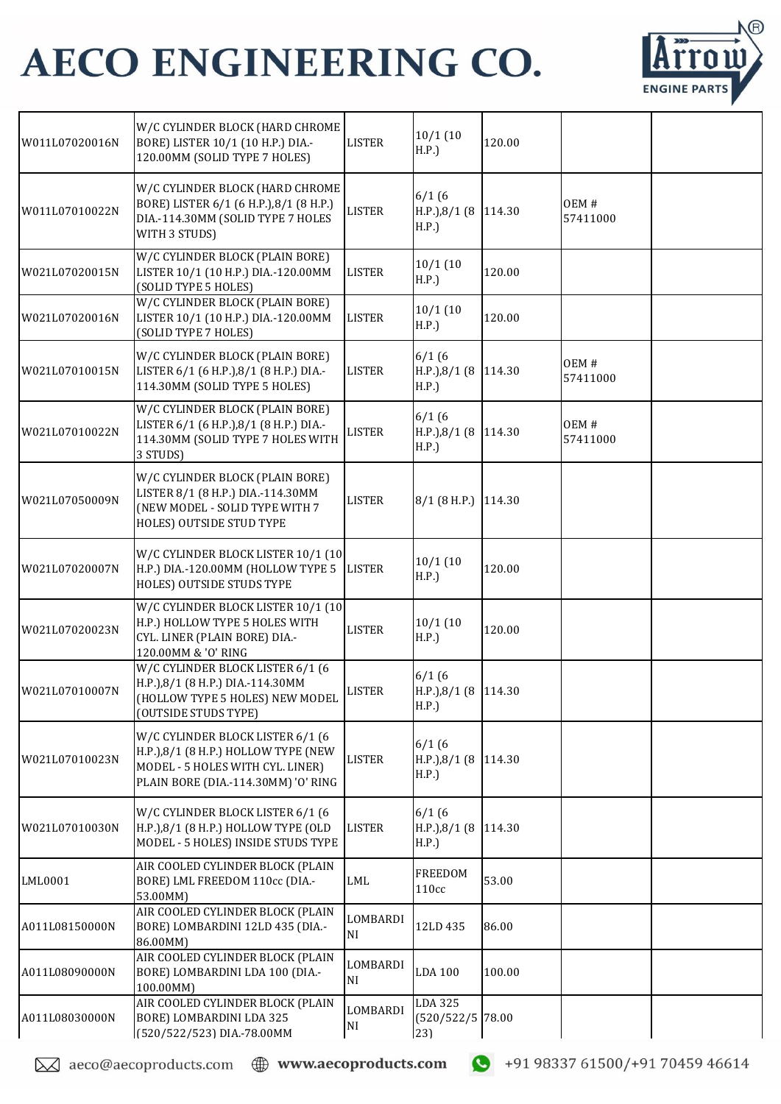

| W011L07020016N | W/C CYLINDER BLOCK (HARD CHROME<br>BORE) LISTER 10/1 (10 H.P.) DIA .-<br>120.00MM (SOLID TYPE 7 HOLES)                                              | <b>LISTER</b>        | 10/1(10)<br>H.P.)                      | 120.00 |                  |  |
|----------------|-----------------------------------------------------------------------------------------------------------------------------------------------------|----------------------|----------------------------------------|--------|------------------|--|
| W011L07010022N | W/C CYLINDER BLOCK (HARD CHROME<br>BORE) LISTER 6/1 (6 H.P.),8/1 (8 H.P.)<br>DIA.-114.30MM (SOLID TYPE 7 HOLES<br>WITH 3 STUDS)                     | <b>LISTER</b>        | 6/1(6)<br>H.P.),8/1 (8<br>H.P.)        | 114.30 | OEM#<br>57411000 |  |
| W021L07020015N | W/C CYLINDER BLOCK (PLAIN BORE)<br>LISTER 10/1 (10 H.P.) DIA.-120.00MM<br>(SOLID TYPE 5 HOLES)                                                      | <b>LISTER</b>        | 10/1(10<br>H.P.)                       | 120.00 |                  |  |
| W021L07020016N | W/C CYLINDER BLOCK (PLAIN BORE)<br>LISTER 10/1 (10 H.P.) DIA.-120.00MM<br>(SOLID TYPE 7 HOLES)                                                      | <b>LISTER</b>        | 10/1(10)<br>H.P.)                      | 120.00 |                  |  |
| W021L07010015N | W/C CYLINDER BLOCK (PLAIN BORE)<br>LISTER 6/1 (6 H.P.),8/1 (8 H.P.) DIA.-<br>114.30MM (SOLID TYPE 5 HOLES)                                          | <b>LISTER</b>        | 6/1(6)<br>$H.P.$ ), $8/1$ (8<br>H.P.   | 114.30 | OEM#<br>57411000 |  |
| W021L07010022N | W/C CYLINDER BLOCK (PLAIN BORE)<br>LISTER 6/1 (6 H.P.), 8/1 (8 H.P.) DIA.-<br>114.30MM (SOLID TYPE 7 HOLES WITH<br>3 STUDS)                         | <b>LISTER</b>        | 6/1(6)<br>$H.P.$ ), $8/1$ (8<br>H.P.   | 114.30 | OEM#<br>57411000 |  |
| W021L07050009N | W/C CYLINDER BLOCK (PLAIN BORE)<br>LISTER 8/1 (8 H.P.) DIA .- 114.30MM<br>(NEW MODEL - SOLID TYPE WITH 7<br>HOLES) OUTSIDE STUD TYPE                | <b>LISTER</b>        | $8/1$ (8 H.P.)                         | 114.30 |                  |  |
| W021L07020007N | W/C CYLINDER BLOCK LISTER 10/1 (10<br>H.P.) DIA.-120.00MM (HOLLOW TYPE 5<br>HOLES) OUTSIDE STUDS TYPE                                               | <b>LISTER</b>        | $10/1$ (10<br>H.P.)                    | 120.00 |                  |  |
| W021L07020023N | W/C CYLINDER BLOCK LISTER 10/1 (10<br>H.P.) HOLLOW TYPE 5 HOLES WITH<br>CYL. LINER (PLAIN BORE) DIA .-<br>120.00MM & 'O' RING                       | <b>LISTER</b>        | 10/1(10<br>H.P.)                       | 120.00 |                  |  |
| W021L07010007N | W/C CYLINDER BLOCK LISTER 6/1 (6<br>H.P.),8/1 (8 H.P.) DIA.-114.30MM<br>(HOLLOW TYPE 5 HOLES) NEW MODEL<br>(OUTSIDE STUDS TYPE)                     | <b>LISTER</b>        | 6/1(6)<br>H.P.),8/1 (8 114.30<br>H.P.) |        |                  |  |
| W021L07010023N | W/C CYLINDER BLOCK LISTER 6/1 (6<br>H.P.), 8/1 (8 H.P.) HOLLOW TYPE (NEW<br>MODEL - 5 HOLES WITH CYL. LINER)<br>PLAIN BORE (DIA.-114.30MM) 'O' RING | <b>LISTER</b>        | 6/1(6)<br>$H.P.$ ), $8/1$ (8<br>H.P.   | 114.30 |                  |  |
| W021L07010030N | W/C CYLINDER BLOCK LISTER 6/1 (6<br>H.P.), 8/1 (8 H.P.) HOLLOW TYPE (OLD<br>MODEL - 5 HOLES) INSIDE STUDS TYPE                                      | <b>LISTER</b>        | 6/1(6)<br>$H.P.$ ), $8/1$ (8<br>H.P.)  | 114.30 |                  |  |
| LML0001        | AIR COOLED CYLINDER BLOCK (PLAIN<br>BORE) LML FREEDOM 110cc (DIA .-<br>53.00MM)                                                                     | <b>LML</b>           | <b>FREEDOM</b><br>110cc                | 53.00  |                  |  |
| A011L08150000N | AIR COOLED CYLINDER BLOCK (PLAIN<br>BORE) LOMBARDINI 12LD 435 (DIA .-<br>86.00MM)                                                                   | LOMBARDI<br>NI.      | 12LD 435                               | 86.00  |                  |  |
| A011L08090000N | AIR COOLED CYLINDER BLOCK (PLAIN<br>BORE) LOMBARDINI LDA 100 (DIA .-<br>100.00MM)                                                                   | LOMBARDI<br>NI       | <b>LDA 100</b>                         | 100.00 |                  |  |
| A011L08030000N | AIR COOLED CYLINDER BLOCK (PLAIN<br>BORE) LOMBARDINI LDA 325<br>(520/522/523) DIA.-78.00MM                                                          | LOMBARDI<br>$\rm NI$ | LDA 325<br>(520/522/5 78.00<br>23)     |        |                  |  |

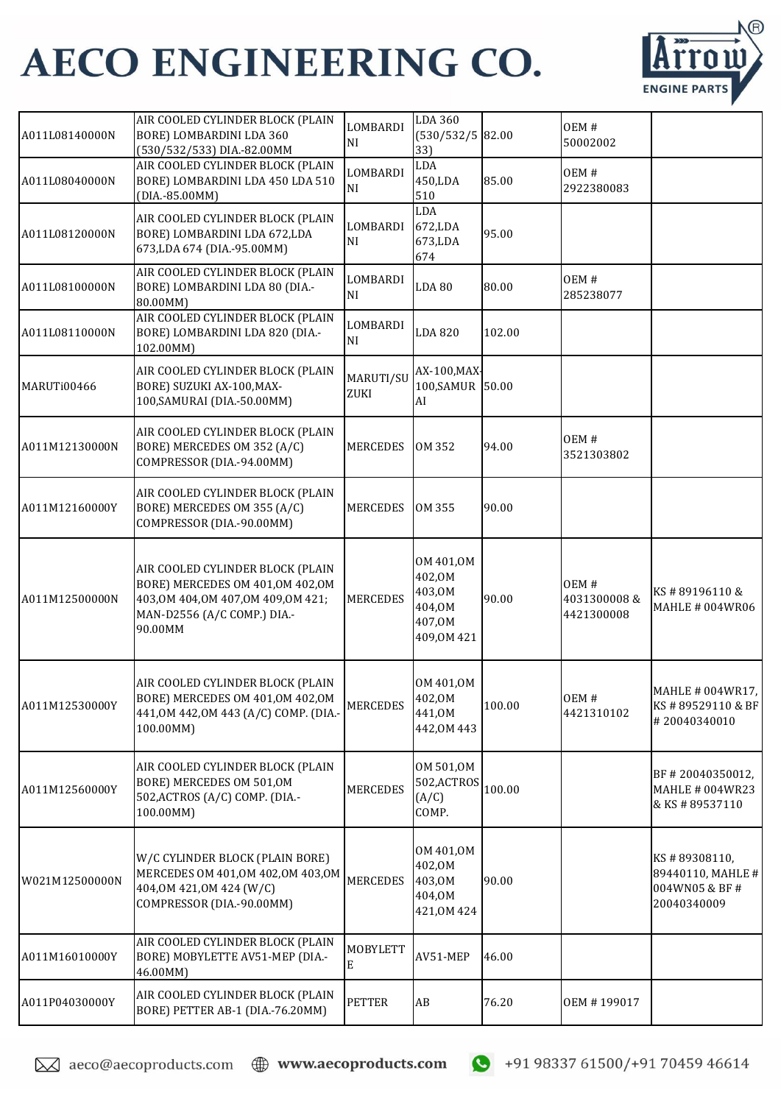

| A011L08140000N | AIR COOLED CYLINDER BLOCK (PLAIN<br>BORE) LOMBARDINI LDA 360<br>(530/532/533) DIA.-82.00MM                                                           | LOMBARDI<br>NI       | <b>LDA 360</b><br>$(530/532/5)$ 82.00<br>33)                    |        | OEM#<br>50002002                  |                                                                   |
|----------------|------------------------------------------------------------------------------------------------------------------------------------------------------|----------------------|-----------------------------------------------------------------|--------|-----------------------------------|-------------------------------------------------------------------|
| A011L08040000N | AIR COOLED CYLINDER BLOCK (PLAIN<br>BORE) LOMBARDINI LDA 450 LDA 510<br>(DIA.-85.00MM)                                                               | LOMBARDI<br>NI       | LDA<br>450,LDA<br>510                                           | 85.00  | OEM#<br>2922380083                |                                                                   |
| A011L08120000N | AIR COOLED CYLINDER BLOCK (PLAIN<br>BORE) LOMBARDINI LDA 672,LDA<br>673, LDA 674 (DIA.-95.00MM)                                                      | LOMBARDI<br>NI       | LDA<br>672,LDA<br>673,LDA<br>674                                | 95.00  |                                   |                                                                   |
| A011L08100000N | AIR COOLED CYLINDER BLOCK (PLAIN<br>BORE) LOMBARDINI LDA 80 (DIA .-<br>80.00MM)                                                                      | LOMBARDI<br>NI       | <b>LDA 80</b>                                                   | 80.00  | OEM#<br>285238077                 |                                                                   |
| A011L08110000N | AIR COOLED CYLINDER BLOCK (PLAIN<br>BORE) LOMBARDINI LDA 820 (DIA .-<br>102.00MM)                                                                    | LOMBARDI<br>NI       | LDA 820                                                         | 102.00 |                                   |                                                                   |
| MARUTi00466    | AIR COOLED CYLINDER BLOCK (PLAIN<br>BORE) SUZUKI AX-100, MAX-<br>100, SAMURAI (DIA.-50.00MM)                                                         | MARUTI/SU<br>ZUKI    | AX-100, MAX<br>100, SAMUR 50.00<br>AI                           |        |                                   |                                                                   |
| A011M12130000N | AIR COOLED CYLINDER BLOCK (PLAIN<br>BORE) MERCEDES OM 352 (A/C)<br>COMPRESSOR (DIA.-94.00MM)                                                         | <b>MERCEDES</b>      | OM 352                                                          | 94.00  | OEM#<br>3521303802                |                                                                   |
| A011M12160000Y | AIR COOLED CYLINDER BLOCK (PLAIN<br>BORE) MERCEDES OM 355 (A/C)<br>COMPRESSOR (DIA.-90.00MM)                                                         | <b>MERCEDES</b>      | OM 355                                                          | 90.00  |                                   |                                                                   |
| A011M12500000N | AIR COOLED CYLINDER BLOCK (PLAIN<br>BORE) MERCEDES OM 401, OM 402, OM<br>403,0M 404,0M 407,0M 409,0M 421;<br>MAN-D2556 (A/C COMP.) DIA .-<br>90.00MM | <b>MERCEDES</b>      | OM 401,0M<br>402,0M<br>403,0M<br>404,0M<br>407,0M<br>409,0M 421 | 90.00  | OEM#<br>4031300008&<br>4421300008 | KS#89196110&<br><b>MAHLE # 004WR06</b>                            |
| A011M12530000Y | AIR COOLED CYLINDER BLOCK (PLAIN<br>BORE) MERCEDES OM 401, OM 402, OM<br>441,0M 442,0M 443 (A/C) COMP. (DIA.-<br>100.00MM)                           | <b>MERCEDES</b>      | OM 401,0M<br>402,0M<br>441,0M<br>442,0M 443                     | 100.00 | OEM#<br>4421310102                | MAHLE # 004WR17,<br>KS#89529110 & BF<br>#20040340010              |
| A011M12560000Y | AIR COOLED CYLINDER BLOCK (PLAIN<br>BORE) MERCEDES OM 501, OM<br>502, ACTROS (A/C) COMP. (DIA.-<br>100.00MM)                                         | <b>MERCEDES</b>      | OM 501,0M<br>502, ACTROS<br>(A/C)<br>COMP.                      | 100.00 |                                   | BF #20040350012,<br><b>MAHLE # 004WR23</b><br>& KS # 89537110     |
| W021M12500000N | W/C CYLINDER BLOCK (PLAIN BORE)<br>MERCEDES OM 401,0M 402,0M 403,0M<br>404,0M 421,0M 424 (W/C)<br>COMPRESSOR (DIA.-90.00MM)                          | <b>MERCEDES</b>      | OM 401,0M<br>402,0M<br>403,0M<br>404,0M<br>421,0M 424           | 90.00  |                                   | KS#89308110,<br>89440110, MAHLE #<br>004WN05 & BF#<br>20040340009 |
| A011M16010000Y | AIR COOLED CYLINDER BLOCK (PLAIN<br>BORE) MOBYLETTE AV51-MEP (DIA .-<br>46.00MM)                                                                     | <b>MOBYLETT</b><br>E | AV51-MEP                                                        | 46.00  |                                   |                                                                   |
| A011P04030000Y | AIR COOLED CYLINDER BLOCK (PLAIN<br>BORE) PETTER AB-1 (DIA.-76.20MM)                                                                                 | <b>PETTER</b>        | AB                                                              | 76.20  | OEM #199017                       |                                                                   |